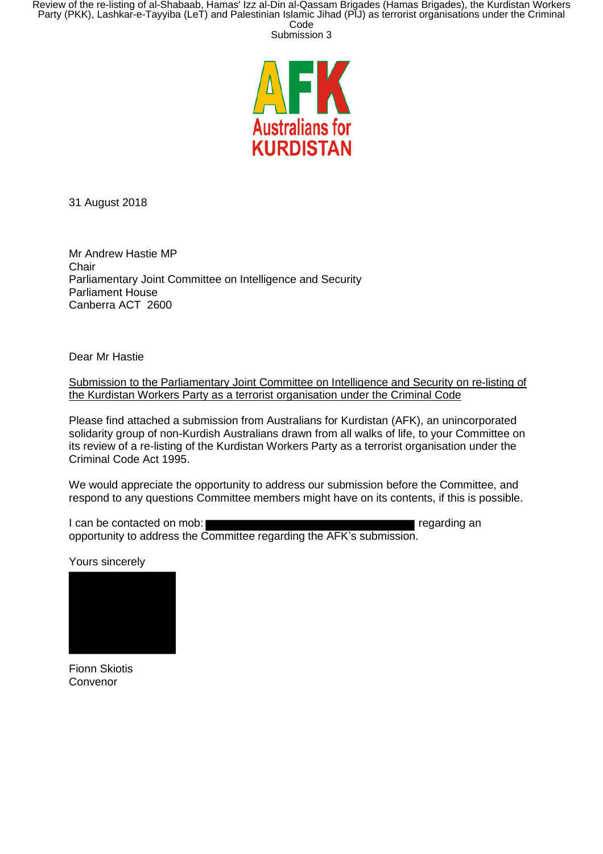



31 August 2018

Mr Andrew Hastie MP **Chair** Parliamentary Joint Committee on Intelligence and Security Parliament House Canberra ACT 2600

Dear Mr Hastie

Submission to the Parliamentary Joint Committee on Intelligence and Security on re-listing of the Kurdistan Workers Party as a terrorist organisation under the Criminal Code

Please find attached a submission from Australians for Kurdistan (AFK), an unincorporated solidarity group of non-Kurdish Australians drawn from all walks of life, to your Committee on its review of a re-listing of the Kurdistan Workers Party as a terrorist organisation under the Criminal Code Act 1995.

We would appreciate the opportunity to address our submission before the Committee, and respond to any questions Committee members might have on its contents, if this is possible.

I can be contacted on mob: regarding an interval of the contacted on mob: opportunity to address the Committee regarding the AFK's submission.

Yours sincerely



Fionn Skiotis Convenor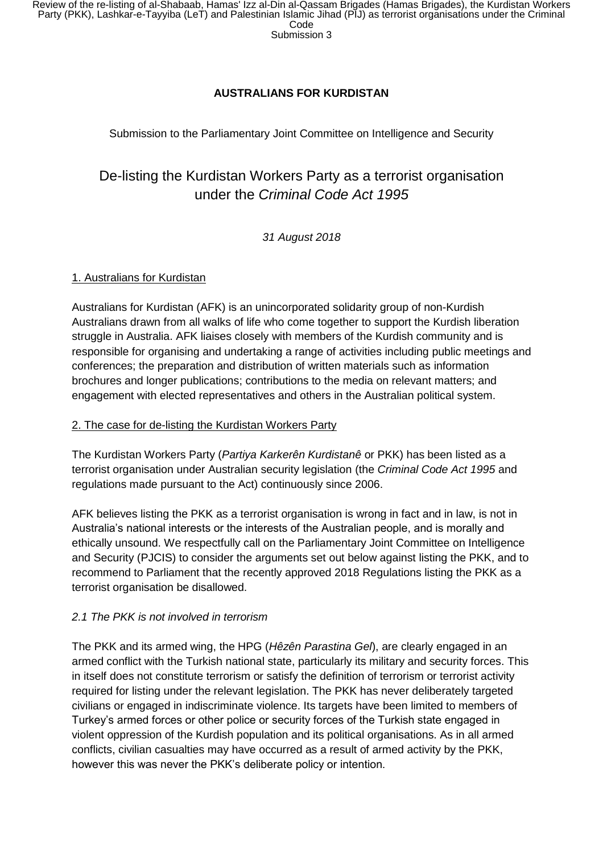## **AUSTRALIANS FOR KURDISTAN**

Submission to the Parliamentary Joint Committee on Intelligence and Security

# De-listing the Kurdistan Workers Party as a terrorist organisation under the *Criminal Code Act 1995*

### *31 August 2018*

#### 1. Australians for Kurdistan

Australians for Kurdistan (AFK) is an unincorporated solidarity group of non-Kurdish Australians drawn from all walks of life who come together to support the Kurdish liberation struggle in Australia. AFK liaises closely with members of the Kurdish community and is responsible for organising and undertaking a range of activities including public meetings and conferences; the preparation and distribution of written materials such as information brochures and longer publications; contributions to the media on relevant matters; and engagement with elected representatives and others in the Australian political system.

#### 2. The case for de-listing the Kurdistan Workers Party

The Kurdistan Workers Party (*Partiya Karkerên Kurdistanê* or PKK) has been listed as a terrorist organisation under Australian security legislation (the *Criminal Code Act 1995* and regulations made pursuant to the Act) continuously since 2006.

AFK believes listing the PKK as a terrorist organisation is wrong in fact and in law, is not in Australia's national interests or the interests of the Australian people, and is morally and ethically unsound. We respectfully call on the Parliamentary Joint Committee on Intelligence and Security (PJCIS) to consider the arguments set out below against listing the PKK, and to recommend to Parliament that the recently approved 2018 Regulations listing the PKK as a terrorist organisation be disallowed.

#### *2.1 The PKK is not involved in terrorism*

The PKK and its armed wing, the HPG (*Hêzên Parastina Gel*), are clearly engaged in an armed conflict with the Turkish national state, particularly its military and security forces. This in itself does not constitute terrorism or satisfy the definition of terrorism or terrorist activity required for listing under the relevant legislation. The PKK has never deliberately targeted civilians or engaged in indiscriminate violence. Its targets have been limited to members of Turkey's armed forces or other police or security forces of the Turkish state engaged in violent oppression of the Kurdish population and its political organisations. As in all armed conflicts, civilian casualties may have occurred as a result of armed activity by the PKK, however this was never the PKK's deliberate policy or intention.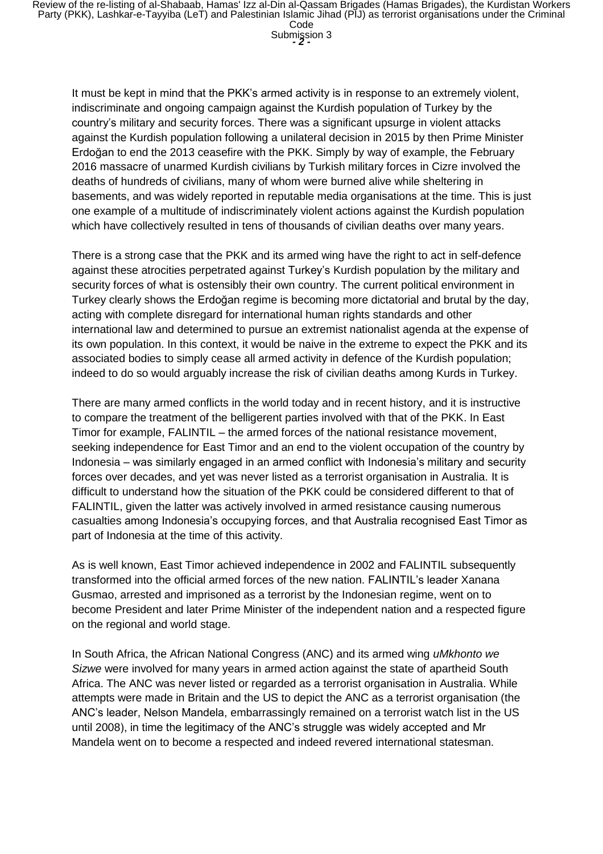It must be kept in mind that the PKK's armed activity is in response to an extremely violent, indiscriminate and ongoing campaign against the Kurdish population of Turkey by the country's military and security forces. There was a significant upsurge in violent attacks against the Kurdish population following a unilateral decision in 2015 by then Prime Minister Erdoğan to end the 2013 ceasefire with the PKK. Simply by way of example, the February 2016 massacre of unarmed Kurdish civilians by Turkish military forces in Cizre involved the deaths of hundreds of civilians, many of whom were burned alive while sheltering in basements, and was widely reported in reputable media organisations at the time. This is just one example of a multitude of indiscriminately violent actions against the Kurdish population which have collectively resulted in tens of thousands of civilian deaths over many years.

There is a strong case that the PKK and its armed wing have the right to act in self-defence against these atrocities perpetrated against Turkey's Kurdish population by the military and security forces of what is ostensibly their own country. The current political environment in Turkey clearly shows the Erdoğan regime is becoming more dictatorial and brutal by the day, acting with complete disregard for international human rights standards and other international law and determined to pursue an extremist nationalist agenda at the expense of its own population. In this context, it would be naive in the extreme to expect the PKK and its associated bodies to simply cease all armed activity in defence of the Kurdish population; indeed to do so would arguably increase the risk of civilian deaths among Kurds in Turkey.

There are many armed conflicts in the world today and in recent history, and it is instructive to compare the treatment of the belligerent parties involved with that of the PKK. In East Timor for example, FALINTIL – the armed forces of the national resistance movement, seeking independence for East Timor and an end to the violent occupation of the country by Indonesia – was similarly engaged in an armed conflict with Indonesia's military and security forces over decades, and yet was never listed as a terrorist organisation in Australia. It is difficult to understand how the situation of the PKK could be considered different to that of FALINTIL, given the latter was actively involved in armed resistance causing numerous casualties among Indonesia's occupying forces, and that Australia recognised East Timor as part of Indonesia at the time of this activity.

As is well known, East Timor achieved independence in 2002 and FALINTIL subsequently transformed into the official armed forces of the new nation. FALINTIL's leader Xanana Gusmao, arrested and imprisoned as a terrorist by the Indonesian regime, went on to become President and later Prime Minister of the independent nation and a respected figure on the regional and world stage.

In South Africa, the African National Congress (ANC) and its armed wing *uMkhonto we Sizwe* were involved for many years in armed action against the state of apartheid South Africa. The ANC was never listed or regarded as a terrorist organisation in Australia. While attempts were made in Britain and the US to depict the ANC as a terrorist organisation (the ANC's leader, Nelson Mandela, embarrassingly remained on a terrorist watch list in the US until 2008), in time the legitimacy of the ANC's struggle was widely accepted and Mr Mandela went on to become a respected and indeed revered international statesman.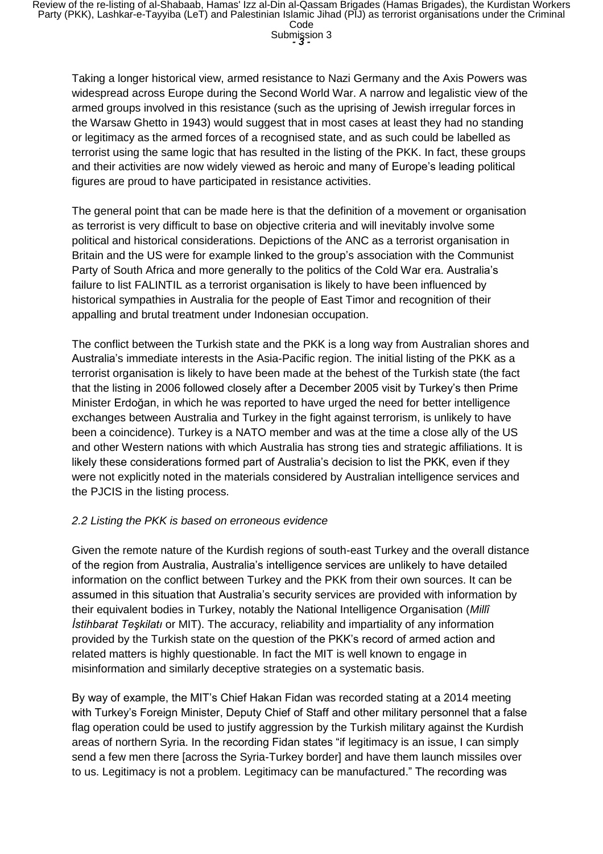Taking a longer historical view, armed resistance to Nazi Germany and the Axis Powers was widespread across Europe during the Second World War. A narrow and legalistic view of the armed groups involved in this resistance (such as the uprising of Jewish irregular forces in the Warsaw Ghetto in 1943) would suggest that in most cases at least they had no standing or legitimacy as the armed forces of a recognised state, and as such could be labelled as terrorist using the same logic that has resulted in the listing of the PKK. In fact, these groups and their activities are now widely viewed as heroic and many of Europe's leading political figures are proud to have participated in resistance activities.

The general point that can be made here is that the definition of a movement or organisation as terrorist is very difficult to base on objective criteria and will inevitably involve some political and historical considerations. Depictions of the ANC as a terrorist organisation in Britain and the US were for example linked to the group's association with the Communist Party of South Africa and more generally to the politics of the Cold War era. Australia's failure to list FALINTIL as a terrorist organisation is likely to have been influenced by historical sympathies in Australia for the people of East Timor and recognition of their appalling and brutal treatment under Indonesian occupation.

The conflict between the Turkish state and the PKK is a long way from Australian shores and Australia's immediate interests in the Asia-Pacific region. The initial listing of the PKK as a terrorist organisation is likely to have been made at the behest of the Turkish state (the fact that the listing in 2006 followed closely after a December 2005 visit by Turkey's then Prime Minister Erdoğan, in which he was reported to have urged the need for better intelligence exchanges between Australia and Turkey in the fight against terrorism, is unlikely to have been a coincidence). Turkey is a NATO member and was at the time a close ally of the US and other Western nations with which Australia has strong ties and strategic affiliations. It is likely these considerations formed part of Australia's decision to list the PKK, even if they were not explicitly noted in the materials considered by Australian intelligence services and the PJCIS in the listing process.

#### *2.2 Listing the PKK is based on erroneous evidence*

Given the remote nature of the Kurdish regions of south-east Turkey and the overall distance of the region from Australia, Australia's intelligence services are unlikely to have detailed information on the conflict between Turkey and the PKK from their own sources. It can be assumed in this situation that Australia's security services are provided with information by their equivalent bodies in Turkey, notably the National Intelligence Organisation (*Millî İstihbarat Teşkilatı* or MIT). The accuracy, reliability and impartiality of any information provided by the Turkish state on the question of the PKK's record of armed action and related matters is highly questionable. In fact the MIT is well known to engage in misinformation and similarly deceptive strategies on a systematic basis.

By way of example, the MIT's Chief Hakan Fidan was recorded stating at a 2014 meeting with Turkey's Foreign Minister, Deputy Chief of Staff and other military personnel that a false flag operation could be used to justify aggression by the Turkish military against the Kurdish areas of northern Syria. In the recording Fidan states "if legitimacy is an issue, I can simply send a few men there [across the Syria-Turkey border] and have them launch missiles over to us. Legitimacy is not a problem. Legitimacy can be manufactured." The recording was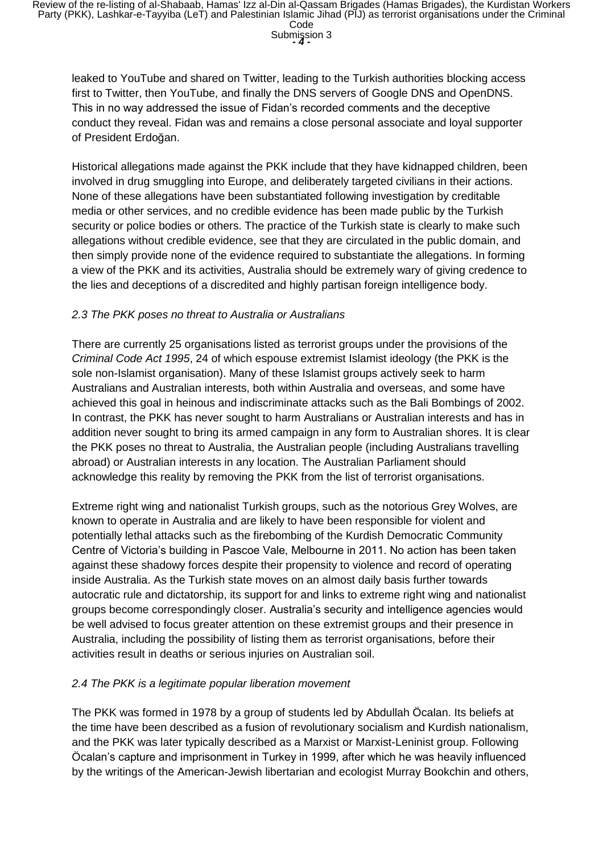leaked to YouTube and shared on Twitter, leading to the Turkish authorities blocking access first to Twitter, then YouTube, and finally the DNS servers of Google DNS and OpenDNS. This in no way addressed the issue of Fidan's recorded comments and the deceptive conduct they reveal. Fidan was and remains a close personal associate and loyal supporter of President Erdoğan.

Historical allegations made against the PKK include that they have kidnapped children, been involved in drug smuggling into Europe, and deliberately targeted civilians in their actions. None of these allegations have been substantiated following investigation by creditable media or other services, and no credible evidence has been made public by the Turkish security or police bodies or others. The practice of the Turkish state is clearly to make such allegations without credible evidence, see that they are circulated in the public domain, and then simply provide none of the evidence required to substantiate the allegations. In forming a view of the PKK and its activities, Australia should be extremely wary of giving credence to the lies and deceptions of a discredited and highly partisan foreign intelligence body.

#### *2.3 The PKK poses no threat to Australia or Australians*

There are currently 25 organisations listed as terrorist groups under the provisions of the *Criminal Code Act 1995*, 24 of which espouse extremist Islamist ideology (the PKK is the sole non-Islamist organisation). Many of these Islamist groups actively seek to harm Australians and Australian interests, both within Australia and overseas, and some have achieved this goal in heinous and indiscriminate attacks such as the Bali Bombings of 2002. In contrast, the PKK has never sought to harm Australians or Australian interests and has in addition never sought to bring its armed campaign in any form to Australian shores. It is clear the PKK poses no threat to Australia, the Australian people (including Australians travelling abroad) or Australian interests in any location. The Australian Parliament should acknowledge this reality by removing the PKK from the list of terrorist organisations.

Extreme right wing and nationalist Turkish groups, such as the notorious Grey Wolves, are known to operate in Australia and are likely to have been responsible for violent and potentially lethal attacks such as the firebombing of the Kurdish Democratic Community Centre of Victoria's building in Pascoe Vale, Melbourne in 2011. No action has been taken against these shadowy forces despite their propensity to violence and record of operating inside Australia. As the Turkish state moves on an almost daily basis further towards autocratic rule and dictatorship, its support for and links to extreme right wing and nationalist groups become correspondingly closer. Australia's security and intelligence agencies would be well advised to focus greater attention on these extremist groups and their presence in Australia, including the possibility of listing them as terrorist organisations, before their activities result in deaths or serious injuries on Australian soil.

#### *2.4 The PKK is a legitimate popular liberation movement*

The PKK was formed in 1978 by a group of students led by Abdullah Öcalan. Its beliefs at the time have been described as a fusion of revolutionary socialism and Kurdish nationalism, and the PKK was later typically described as a Marxist or Marxist-Leninist group. Following Öcalan's capture and imprisonment in Turkey in 1999, after which he was heavily influenced by the writings of the American-Jewish libertarian and ecologist Murray Bookchin and others,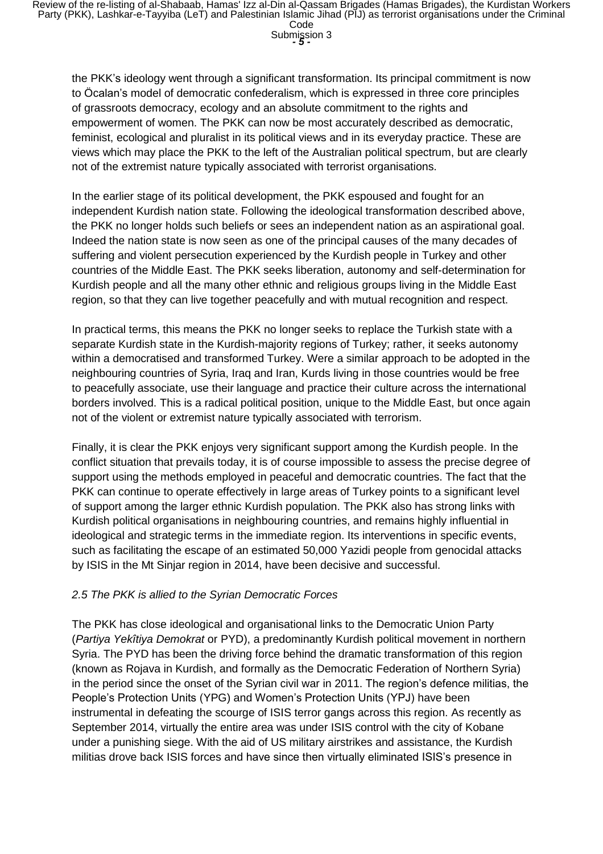the PKK's ideology went through a significant transformation. Its principal commitment is now to Öcalan's model of democratic confederalism, which is expressed in three core principles of grassroots democracy, ecology and an absolute commitment to the rights and empowerment of women. The PKK can now be most accurately described as democratic, feminist, ecological and pluralist in its political views and in its everyday practice. These are views which may place the PKK to the left of the Australian political spectrum, but are clearly not of the extremist nature typically associated with terrorist organisations.

In the earlier stage of its political development, the PKK espoused and fought for an independent Kurdish nation state. Following the ideological transformation described above, the PKK no longer holds such beliefs or sees an independent nation as an aspirational goal. Indeed the nation state is now seen as one of the principal causes of the many decades of suffering and violent persecution experienced by the Kurdish people in Turkey and other countries of the Middle East. The PKK seeks liberation, autonomy and self-determination for Kurdish people and all the many other ethnic and religious groups living in the Middle East region, so that they can live together peacefully and with mutual recognition and respect.

In practical terms, this means the PKK no longer seeks to replace the Turkish state with a separate Kurdish state in the Kurdish-majority regions of Turkey; rather, it seeks autonomy within a democratised and transformed Turkey. Were a similar approach to be adopted in the neighbouring countries of Syria, Iraq and Iran, Kurds living in those countries would be free to peacefully associate, use their language and practice their culture across the international borders involved. This is a radical political position, unique to the Middle East, but once again not of the violent or extremist nature typically associated with terrorism.

Finally, it is clear the PKK enjoys very significant support among the Kurdish people. In the conflict situation that prevails today, it is of course impossible to assess the precise degree of support using the methods employed in peaceful and democratic countries. The fact that the PKK can continue to operate effectively in large areas of Turkey points to a significant level of support among the larger ethnic Kurdish population. The PKK also has strong links with Kurdish political organisations in neighbouring countries, and remains highly influential in ideological and strategic terms in the immediate region. Its interventions in specific events, such as facilitating the escape of an estimated 50,000 Yazidi people from genocidal attacks by ISIS in the Mt Sinjar region in 2014, have been decisive and successful.

#### *2.5 The PKK is allied to the Syrian Democratic Forces*

The PKK has close ideological and organisational links to the Democratic Union Party (*Partiya Yekîtiya Demokrat* or PYD), a predominantly Kurdish political movement in northern Syria. The PYD has been the driving force behind the dramatic transformation of this region (known as Rojava in Kurdish, and formally as the Democratic Federation of Northern Syria) in the period since the onset of the Syrian civil war in 2011. The region's defence militias, the People's Protection Units (YPG) and Women's Protection Units (YPJ) have been instrumental in defeating the scourge of ISIS terror gangs across this region. As recently as September 2014, virtually the entire area was under ISIS control with the city of Kobane under a punishing siege. With the aid of US military airstrikes and assistance, the Kurdish militias drove back ISIS forces and have since then virtually eliminated ISIS's presence in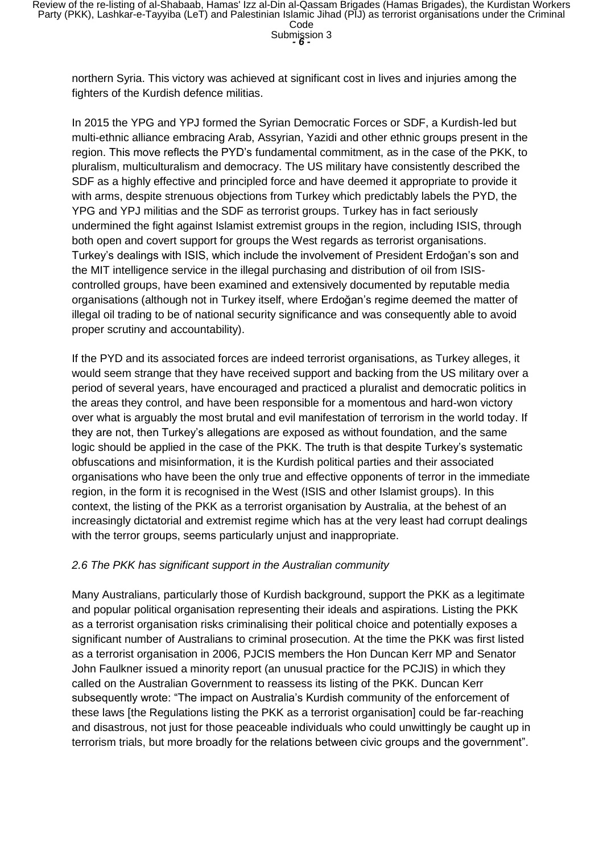Submission 3

northern Syria. This victory was achieved at significant cost in lives and injuries among the fighters of the Kurdish defence militias.

In 2015 the YPG and YPJ formed the Syrian Democratic Forces or SDF, a Kurdish-led but multi-ethnic alliance embracing Arab, Assyrian, Yazidi and other ethnic groups present in the region. This move reflects the PYD's fundamental commitment, as in the case of the PKK, to pluralism, multiculturalism and democracy. The US military have consistently described the SDF as a highly effective and principled force and have deemed it appropriate to provide it with arms, despite strenuous objections from Turkey which predictably labels the PYD, the YPG and YPJ militias and the SDF as terrorist groups. Turkey has in fact seriously undermined the fight against Islamist extremist groups in the region, including ISIS, through both open and covert support for groups the West regards as terrorist organisations. Turkey's dealings with ISIS, which include the involvement of President Erdoğan's son and the MIT intelligence service in the illegal purchasing and distribution of oil from ISIScontrolled groups, have been examined and extensively documented by reputable media organisations (although not in Turkey itself, where Erdoğan's regime deemed the matter of illegal oil trading to be of national security significance and was consequently able to avoid proper scrutiny and accountability).

If the PYD and its associated forces are indeed terrorist organisations, as Turkey alleges, it would seem strange that they have received support and backing from the US military over a period of several years, have encouraged and practiced a pluralist and democratic politics in the areas they control, and have been responsible for a momentous and hard-won victory over what is arguably the most brutal and evil manifestation of terrorism in the world today. If they are not, then Turkey's allegations are exposed as without foundation, and the same logic should be applied in the case of the PKK. The truth is that despite Turkey's systematic obfuscations and misinformation, it is the Kurdish political parties and their associated organisations who have been the only true and effective opponents of terror in the immediate region, in the form it is recognised in the West (ISIS and other Islamist groups). In this context, the listing of the PKK as a terrorist organisation by Australia, at the behest of an increasingly dictatorial and extremist regime which has at the very least had corrupt dealings with the terror groups, seems particularly unjust and inappropriate.

# *2.6 The PKK has significant support in the Australian community*

Many Australians, particularly those of Kurdish background, support the PKK as a legitimate and popular political organisation representing their ideals and aspirations. Listing the PKK as a terrorist organisation risks criminalising their political choice and potentially exposes a significant number of Australians to criminal prosecution. At the time the PKK was first listed as a terrorist organisation in 2006, PJCIS members the Hon Duncan Kerr MP and Senator John Faulkner issued a minority report (an unusual practice for the PCJIS) in which they called on the Australian Government to reassess its listing of the PKK. Duncan Kerr subsequently wrote: "The impact on Australia's Kurdish community of the enforcement of these laws [the Regulations listing the PKK as a terrorist organisation] could be far-reaching and disastrous, not just for those peaceable individuals who could unwittingly be caught up in terrorism trials, but more broadly for the relations between civic groups and the government".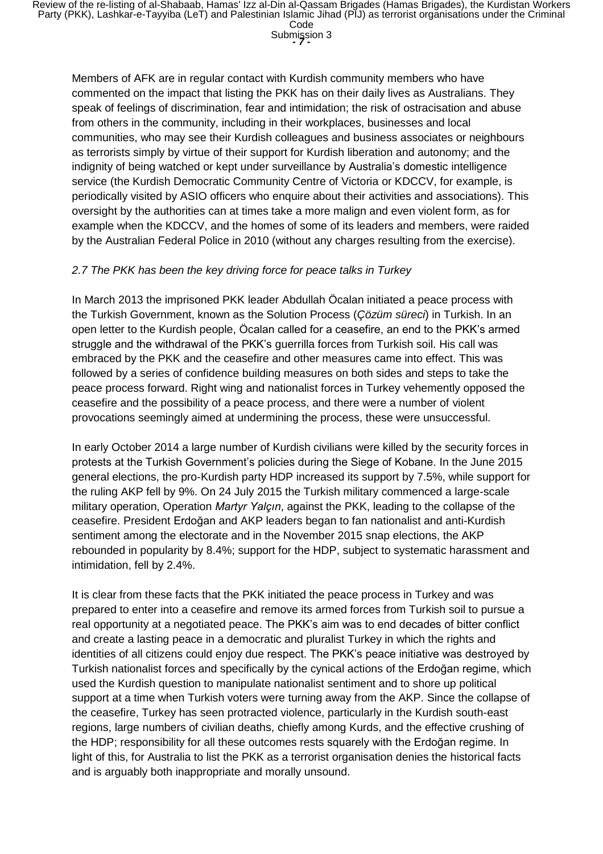Submission 3

Members of AFK are in regular contact with Kurdish community members who have commented on the impact that listing the PKK has on their daily lives as Australians. They speak of feelings of discrimination, fear and intimidation; the risk of ostracisation and abuse from others in the community, including in their workplaces, businesses and local communities, who may see their Kurdish colleagues and business associates or neighbours as terrorists simply by virtue of their support for Kurdish liberation and autonomy; and the indignity of being watched or kept under surveillance by Australia's domestic intelligence service (the Kurdish Democratic Community Centre of Victoria or KDCCV, for example, is periodically visited by ASIO officers who enquire about their activities and associations). This oversight by the authorities can at times take a more malign and even violent form, as for example when the KDCCV, and the homes of some of its leaders and members, were raided by the Australian Federal Police in 2010 (without any charges resulting from the exercise).

#### *2.7 The PKK has been the key driving force for peace talks in Turkey*

In March 2013 the imprisoned PKK leader Abdullah Öcalan initiated a peace process with the Turkish Government, known as the Solution Process (*Çözüm süreci*) in Turkish. In an open letter to the Kurdish people, Öcalan called for a ceasefire, an end to the PKK's armed struggle and the withdrawal of the PKK's guerrilla forces from Turkish soil. His call was embraced by the PKK and the ceasefire and other measures came into effect. This was followed by a series of confidence building measures on both sides and steps to take the peace process forward. Right wing and nationalist forces in Turkey vehemently opposed the ceasefire and the possibility of a peace process, and there were a number of violent provocations seemingly aimed at undermining the process, these were unsuccessful.

In early October 2014 a large number of Kurdish civilians were killed by the security forces in protests at the Turkish Government's policies during the Siege of Kobane. In the June 2015 general elections, the pro-Kurdish party HDP increased its support by 7.5%, while support for the ruling AKP fell by 9%. On 24 July 2015 the Turkish military commenced a large-scale military operation, Operation *Martyr Yalçın*, against the PKK, leading to the collapse of the ceasefire. President Erdoğan and AKP leaders began to fan nationalist and anti-Kurdish sentiment among the electorate and in the November 2015 snap elections, the AKP rebounded in popularity by 8.4%; support for the HDP, subject to systematic harassment and intimidation, fell by 2.4%.

It is clear from these facts that the PKK initiated the peace process in Turkey and was prepared to enter into a ceasefire and remove its armed forces from Turkish soil to pursue a real opportunity at a negotiated peace. The PKK's aim was to end decades of bitter conflict and create a lasting peace in a democratic and pluralist Turkey in which the rights and identities of all citizens could enjoy due respect. The PKK's peace initiative was destroyed by Turkish nationalist forces and specifically by the cynical actions of the Erdoğan regime, which used the Kurdish question to manipulate nationalist sentiment and to shore up political support at a time when Turkish voters were turning away from the AKP. Since the collapse of the ceasefire, Turkey has seen protracted violence, particularly in the Kurdish south-east regions, large numbers of civilian deaths, chiefly among Kurds, and the effective crushing of the HDP; responsibility for all these outcomes rests squarely with the Erdoğan regime. In light of this, for Australia to list the PKK as a terrorist organisation denies the historical facts and is arguably both inappropriate and morally unsound.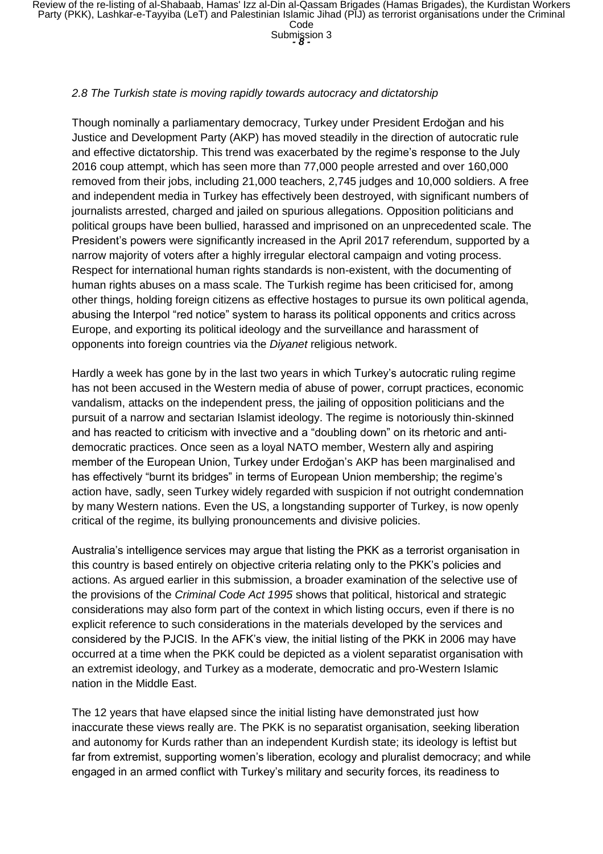Submission 3

#### *2.8 The Turkish state is moving rapidly towards autocracy and dictatorship*

Though nominally a parliamentary democracy, Turkey under President Erdoğan and his Justice and Development Party (AKP) has moved steadily in the direction of autocratic rule and effective dictatorship. This trend was exacerbated by the regime's response to the July 2016 coup attempt, which has seen more than 77,000 people arrested and over 160,000 removed from their jobs, including 21,000 teachers, 2,745 judges and 10,000 soldiers. A free and independent media in Turkey has effectively been destroyed, with significant numbers of journalists arrested, charged and jailed on spurious allegations. Opposition politicians and political groups have been bullied, harassed and imprisoned on an unprecedented scale. The President's powers were significantly increased in the April 2017 referendum, supported by a narrow majority of voters after a highly irregular electoral campaign and voting process. Respect for international human rights standards is non-existent, with the documenting of human rights abuses on a mass scale. The Turkish regime has been criticised for, among other things, holding foreign citizens as effective hostages to pursue its own political agenda, abusing the Interpol "red notice" system to harass its political opponents and critics across Europe, and exporting its political ideology and the surveillance and harassment of opponents into foreign countries via the *Diyanet* religious network.

Hardly a week has gone by in the last two years in which Turkey's autocratic ruling regime has not been accused in the Western media of abuse of power, corrupt practices, economic vandalism, attacks on the independent press, the jailing of opposition politicians and the pursuit of a narrow and sectarian Islamist ideology. The regime is notoriously thin-skinned and has reacted to criticism with invective and a "doubling down" on its rhetoric and antidemocratic practices. Once seen as a loyal NATO member, Western ally and aspiring member of the European Union, Turkey under Erdoğan's AKP has been marginalised and has effectively "burnt its bridges" in terms of European Union membership; the regime's action have, sadly, seen Turkey widely regarded with suspicion if not outright condemnation by many Western nations. Even the US, a longstanding supporter of Turkey, is now openly critical of the regime, its bullying pronouncements and divisive policies.

Australia's intelligence services may argue that listing the PKK as a terrorist organisation in this country is based entirely on objective criteria relating only to the PKK's policies and actions. As argued earlier in this submission, a broader examination of the selective use of the provisions of the *Criminal Code Act 1995* shows that political, historical and strategic considerations may also form part of the context in which listing occurs, even if there is no explicit reference to such considerations in the materials developed by the services and considered by the PJCIS. In the AFK's view, the initial listing of the PKK in 2006 may have occurred at a time when the PKK could be depicted as a violent separatist organisation with an extremist ideology, and Turkey as a moderate, democratic and pro-Western Islamic nation in the Middle East.

The 12 years that have elapsed since the initial listing have demonstrated just how inaccurate these views really are. The PKK is no separatist organisation, seeking liberation and autonomy for Kurds rather than an independent Kurdish state; its ideology is leftist but far from extremist, supporting women's liberation, ecology and pluralist democracy; and while engaged in an armed conflict with Turkey's military and security forces, its readiness to